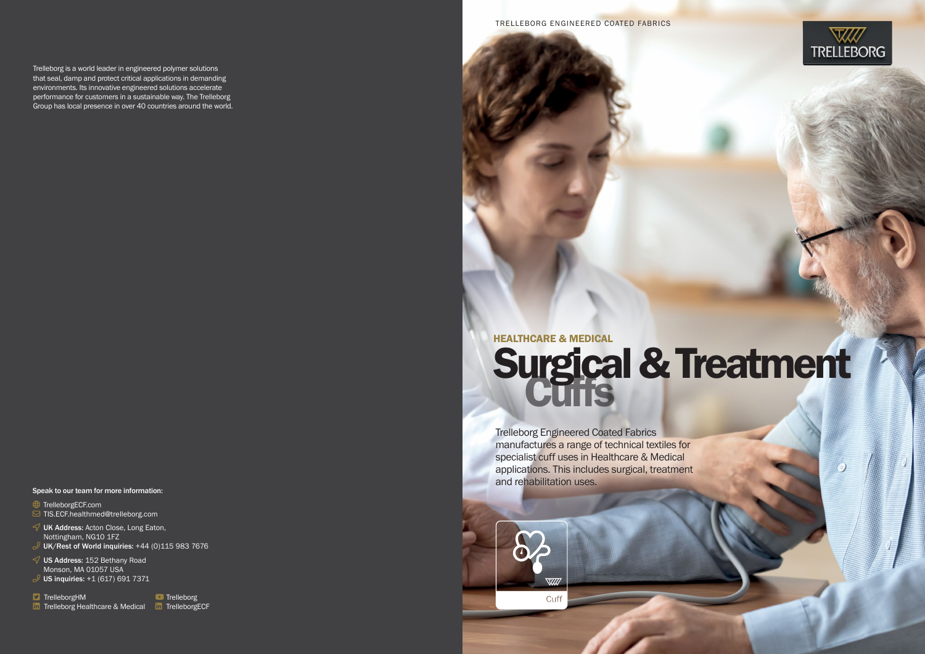Trelleborg Engineered Coated Fabrics manufactures a range of technical textiles for specialist cuff uses in Healthcare & Medical applications. This includes surgical, treatment and rehabilitation uses.





Trelleborg is a world leader in engineered polymer solutions that seal, damp and protect critical applications in demanding environments. Its innovative engineered solutions accelerate performance for customers in a sustainable way. The Trelleborg Group has local presence in over 40 countries around the world.

 $\mathcal O$  UK Address: Acton Close, Long Eaton, Nottingham, NG10 1FZ

 $\mathcal{P}$  UK/Rest of World inquiries: +44 (0)115 983 7676

 $\mathcal O$  US Address: 152 Bethany Road Monson, MA 01057 USA  $P$  US inquiries: +1 (617) 691 7371

 $\Box$  TrelleborgHM

in Trelleborg Healthcare & Medical in TrelleborgECF

**D** Trelleborg

# HEALTHCARE & MEDICAL Surgical & Treatment

#### Speak to our team for more information:

Get TrelleborgECF.com

 $\boxdot$  TIS.ECF.healthmed@trelleborg.com